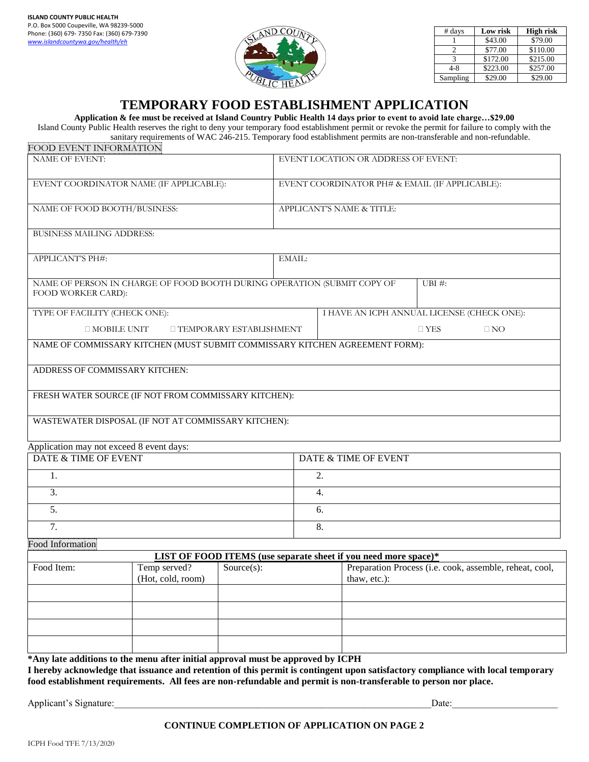

| # days   | Low risk | <b>High risk</b> |
|----------|----------|------------------|
|          | \$43.00  | \$79.00          |
|          | \$77.00  | \$110.00         |
|          | \$172.00 | \$215.00         |
| $4 - 8$  | \$223.00 | \$257.00         |
| Sampling | \$29.00  | \$29.00          |

## **TEMPORARY FOOD ESTABLISHMENT APPLICATION**

**Application & fee must be received at Island Country Public Health 14 days prior to event to avoid late charge…\$29.00**

Island County Public Health reserves the right to deny your temporary food establishment permit or revoke the permit for failure to comply with the sanitary requirements of WAC 246-215. Temporary food establishment permits are non-transferable and non-refundable. FOOD EVENT INFORMATION

| FUUD EVENT INFURMATIUN                   |                                                                             |                                                                 |                                                |                                            |        |                                                         |
|------------------------------------------|-----------------------------------------------------------------------------|-----------------------------------------------------------------|------------------------------------------------|--------------------------------------------|--------|---------------------------------------------------------|
| <b>NAME OF EVENT:</b>                    |                                                                             |                                                                 | EVENT LOCATION OR ADDRESS OF EVENT:            |                                            |        |                                                         |
|                                          | EVENT COORDINATOR NAME (IF APPLICABLE):                                     |                                                                 | EVENT COORDINATOR PH# & EMAIL (IF APPLICABLE): |                                            |        |                                                         |
| NAME OF FOOD BOOTH/BUSINESS:             |                                                                             |                                                                 | APPLICANT'S NAME & TITLE:                      |                                            |        |                                                         |
| <b>BUSINESS MAILING ADDRESS:</b>         |                                                                             |                                                                 |                                                |                                            |        |                                                         |
| APPLICANT'S PH#:                         |                                                                             |                                                                 | EMAIL:                                         |                                            |        |                                                         |
| FOOD WORKER CARD):                       | NAME OF PERSON IN CHARGE OF FOOD BOOTH DURING OPERATION (SUBMIT COPY OF     |                                                                 |                                                |                                            | UBI #: |                                                         |
| TYPE OF FACILITY (CHECK ONE):            |                                                                             |                                                                 |                                                | I HAVE AN ICPH ANNUAL LICENSE (CHECK ONE): |        |                                                         |
|                                          | $\square$ MOBILE UNIT<br>□ TEMPORARY ESTABLISHMENT                          |                                                                 |                                                | $\Box$ YES<br>$\Box$ NO                    |        |                                                         |
|                                          | NAME OF COMMISSARY KITCHEN (MUST SUBMIT COMMISSARY KITCHEN AGREEMENT FORM): |                                                                 |                                                |                                            |        |                                                         |
| ADDRESS OF COMMISSARY KITCHEN:           |                                                                             |                                                                 |                                                |                                            |        |                                                         |
|                                          | FRESH WATER SOURCE (IF NOT FROM COMMISSARY KITCHEN):                        |                                                                 |                                                |                                            |        |                                                         |
|                                          | WASTEWATER DISPOSAL (IF NOT AT COMMISSARY KITCHEN):                         |                                                                 |                                                |                                            |        |                                                         |
| Application may not exceed 8 event days: |                                                                             |                                                                 |                                                |                                            |        |                                                         |
| DATE & TIME OF EVENT                     |                                                                             | DATE & TIME OF EVENT                                            |                                                |                                            |        |                                                         |
| 1.                                       |                                                                             |                                                                 | 2.                                             |                                            |        |                                                         |
| 3.                                       |                                                                             |                                                                 | 4.                                             |                                            |        |                                                         |
| 5.                                       |                                                                             |                                                                 | 6.                                             |                                            |        |                                                         |
| 7.                                       |                                                                             |                                                                 | 8.                                             |                                            |        |                                                         |
| <b>Food Information</b>                  |                                                                             |                                                                 |                                                |                                            |        |                                                         |
|                                          |                                                                             | LIST OF FOOD ITEMS (use separate sheet if you need more space)* |                                                |                                            |        |                                                         |
| Food Item:                               | Temp served?<br>(Hot, cold, room)                                           | $Source(s)$ :                                                   |                                                | thaw, etc.):                               |        | Preparation Process (i.e. cook, assemble, reheat, cool, |
|                                          |                                                                             |                                                                 |                                                |                                            |        |                                                         |
|                                          |                                                                             |                                                                 |                                                |                                            |        |                                                         |
|                                          |                                                                             |                                                                 |                                                |                                            |        |                                                         |
|                                          |                                                                             |                                                                 |                                                |                                            |        |                                                         |

**\*Any late additions to the menu after initial approval must be approved by ICPH I hereby acknowledge that issuance and retention of this permit is contingent upon satisfactory compliance with local temporary food establishment requirements. All fees are non-refundable and permit is non-transferable to person nor place.**

Applicant's Signature:\_\_\_\_\_\_\_\_\_\_\_\_\_\_\_\_\_\_\_\_\_\_\_\_\_\_\_\_\_\_\_\_\_\_\_\_\_\_\_\_\_\_\_\_\_\_\_\_\_\_\_\_\_\_\_\_\_\_\_\_\_\_\_\_\_\_Date:\_\_\_\_\_\_\_\_\_\_\_\_\_\_\_\_\_\_\_\_\_\_